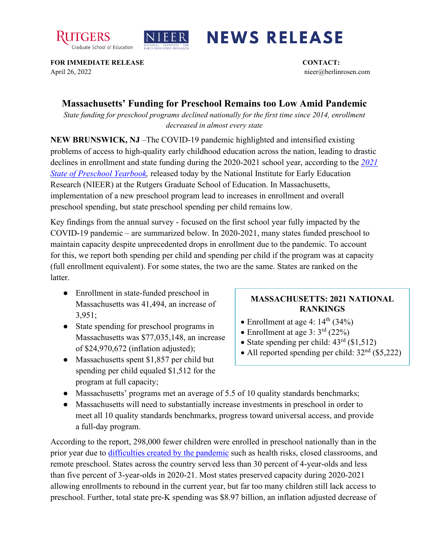



## **NEWS RELEASE**

**FOR IMMEDIATE RELEASE CONTACT:**  April 26, 2022 nieer@berlinrosen.com

## **Massachusetts' Funding for Preschool Remains too Low Amid Pandemic**

*State funding for preschool programs declined nationally for the first time since 2014, enrollment decreased in almost every state*

**NEW BRUNSWICK, NJ** –The COVID-19 pandemic highlighted and intensified existing problems of access to high-quality early childhood education across the nation, leading to drastic declines in enrollment and state funding during the 2020-2021 school year, according to the *[2021](https://nieer.org/state-preschool-yearbooks-yearbook2021)  [State of Preschool Yearbook,](https://nieer.org/state-preschool-yearbooks-yearbook2021)* released today by the National Institute for Early Education Research (NIEER) at the Rutgers Graduate School of Education. In Massachusetts, implementation of a new preschool program lead to increases in enrollment and overall preschool spending, but state preschool spending per child remains low.

Key findings from the annual survey - focused on the first school year fully impacted by the COVID-19 pandemic – are summarized below. In 2020-2021, many states funded preschool to maintain capacity despite unprecedented drops in enrollment due to the pandemic. To account for this, we report both spending per child and spending per child if the program was at capacity (full enrollment equivalent). For some states, the two are the same. States are ranked on the latter.

- Enrollment in state-funded preschool in Massachusetts was 41,494, an increase of 3,951;
- State spending for preschool programs in Massachusetts was \$77,035,148, an increase of \$24,970,672 (inflation adjusted);
- Massachusetts spent \$1,857 per child but spending per child equaled \$1,512 for the program at full capacity;

## **MASSACHUSETTS: 2021 NATIONAL RANKINGS**

- Enrollment at age 4:  $14<sup>th</sup>$  (34%)
- Enrollment at age  $3: 3<sup>rd</sup> (22%)$
- State spending per child:  $43<sup>rd</sup>$  (\$1,512)
- All reported spending per child:  $32<sup>nd</sup>$  (\$5,222)
- Massachusetts' programs met an average of 5.5 of 10 quality standards benchmarks;
- Massachusetts will need to substantially increase investments in preschool in order to meet all 10 quality standards benchmarks, progress toward universal access, and provide a full-day program.

According to the report, 298,000 fewer children were enrolled in preschool nationally than in the prior year due to [difficulties created by the pandemic](https://nieer.org/wp-content/uploads/2021/02/NIEER_Seven_Impacts_of_the_Pandemic_on_Young_Children_and_their_Parents.pdf) such as health risks, closed classrooms, and remote preschool. States across the country served less than 30 percent of 4-year-olds and less than five percent of 3-year-olds in 2020-21. Most states preserved capacity during 2020-2021 allowing enrollments to rebound in the current year, but far too many children still lack access to preschool. Further, total state pre-K spending was \$8.97 billion, an inflation adjusted decrease of